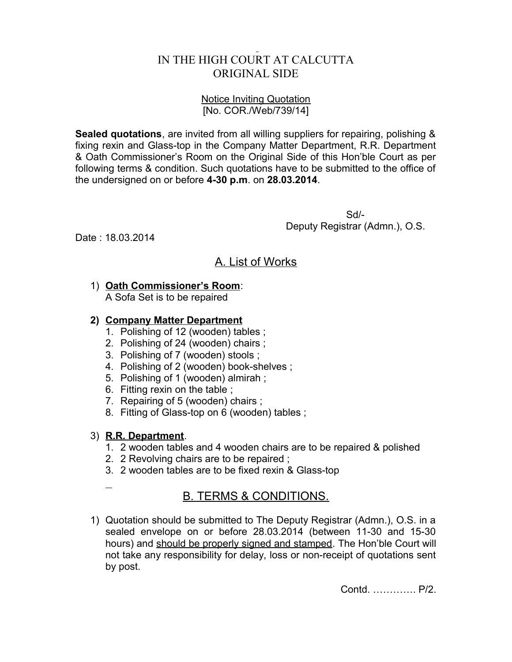## IN THE HIGH COURT AT CALCUTTA ORIGINAL SIDE

#### Notice Inviting Quotation [No. COR./Web/739/14]

**Sealed quotations**, are invited from all willing suppliers for repairing, polishing & fixing rexin and Glass-top in the Company Matter Department, R.R. Department & Oath Commissioner's Room on the Original Side of this Hon'ble Court as per following terms & condition. Such quotations have to be submitted to the office of the undersigned on or before **4-30 p.m**. on **28.03.2014**.

> Sd/- Deputy Registrar (Admn.), O.S.

Date : 18.03.2014

# A. List of Works

## 1) **Oath Commissioner's Room**:

A Sofa Set is to be repaired

### **2) Company Matter Department**

- 1. Polishing of 12 (wooden) tables ;
- 2. Polishing of 24 (wooden) chairs ;
- 3. Polishing of 7 (wooden) stools ;
- 4. Polishing of 2 (wooden) book-shelves ;
- 5. Polishing of 1 (wooden) almirah ;
- 6. Fitting rexin on the table ;
- 7. Repairing of 5 (wooden) chairs ;
- 8. Fitting of Glass-top on 6 (wooden) tables ;

### 3) **R.R. Department**.

- 1. 2 wooden tables and 4 wooden chairs are to be repaired & polished
- 2. 2 Revolving chairs are to be repaired ;
- 3. 2 wooden tables are to be fixed rexin & Glass-top
- $\overline{a}$

# B. TERMS & CONDITIONS.

1) Quotation should be submitted to The Deputy Registrar (Admn.), O.S. in a sealed envelope on or before 28.03.2014 (between 11-30 and 15-30 hours) and should be properly signed and stamped. The Hon'ble Court will not take any responsibility for delay, loss or non-receipt of quotations sent by post.

Contd. …………. P/2.